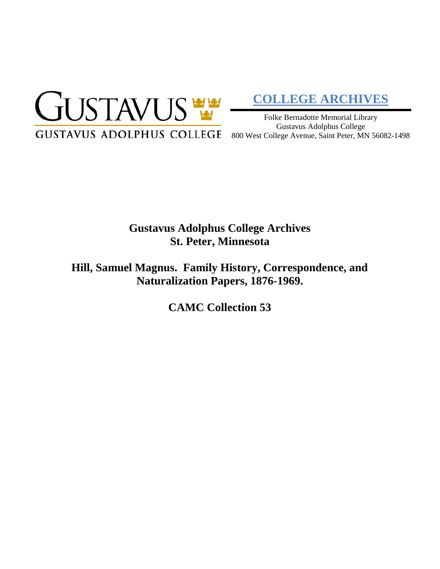

# **[COLLEGE ARCHIVES](http://gustavus.edu/academics/library/archives/)**

Folke Bernadotte Memorial Library Gustavus Adolphus College

# **Gustavus Adolphus College Archives St. Peter, Minnesota**

**Hill, Samuel Magnus. Family History, Correspondence, and Naturalization Papers, 1876-1969.**

**CAMC Collection 53**